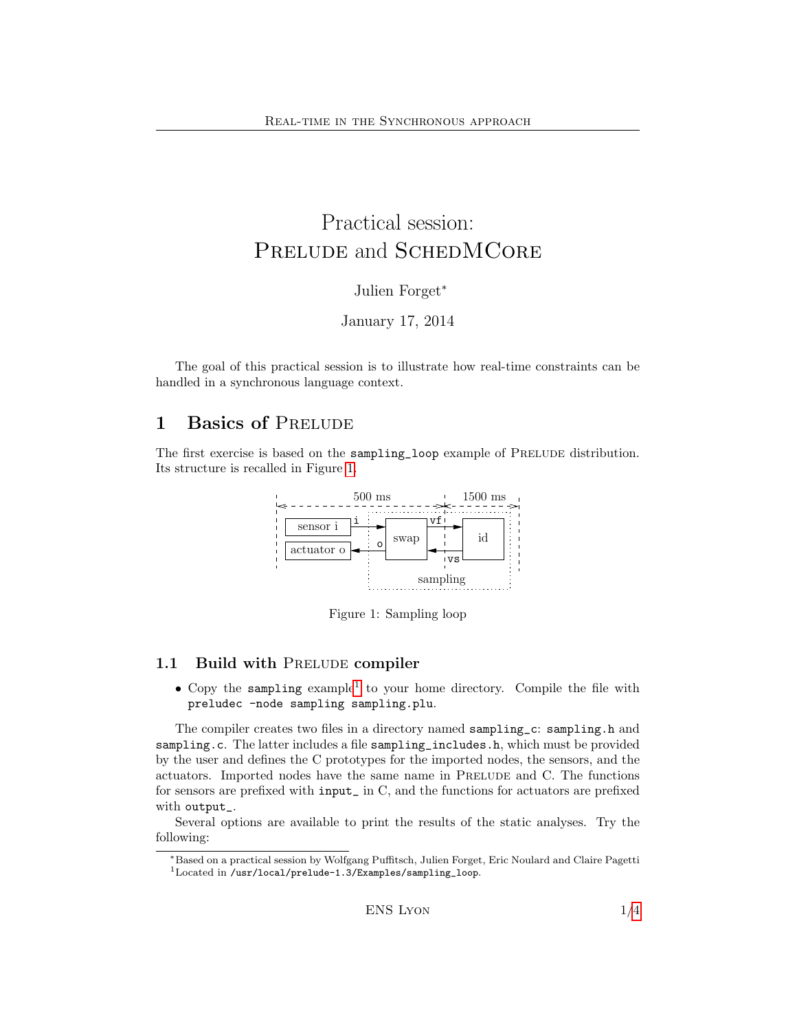# Practical session: PRELUDE and SCHEDMCORE

Julien Forget<sup>∗</sup>

January 17, 2014

The goal of this practical session is to illustrate how real-time constraints can be handled in a synchronous language context.

## 1 Basics of PRELUDE

The first exercise is based on the sampling\_loop example of PRELUDE distribution. Its structure is recalled in Figure [1.](#page-0-0)



<span id="page-0-0"></span>Figure 1: Sampling loop

### 1.1 Build with PRELUDE compiler

• Copy the sampling example<sup>[1](#page-0-1)</sup> to your home directory. Compile the file with preludec -node sampling sampling.plu.

The compiler creates two files in a directory named sampling\_c: sampling.h and sampling.c. The latter includes a file sampling\_includes.h, which must be provided by the user and defines the C prototypes for the imported nodes, the sensors, and the actuators. Imported nodes have the same name in PRELUDE and C. The functions for sensors are prefixed with input\_ in C, and the functions for actuators are prefixed with output\_.

Several options are available to print the results of the static analyses. Try the following:

<sup>∗</sup>Based on a practical session by Wolfgang Puffitsch, Julien Forget, Eric Noulard and Claire Pagetti

<span id="page-0-1"></span><sup>1</sup>Located in /usr/local/prelude-1.3/Examples/sampling\_loop.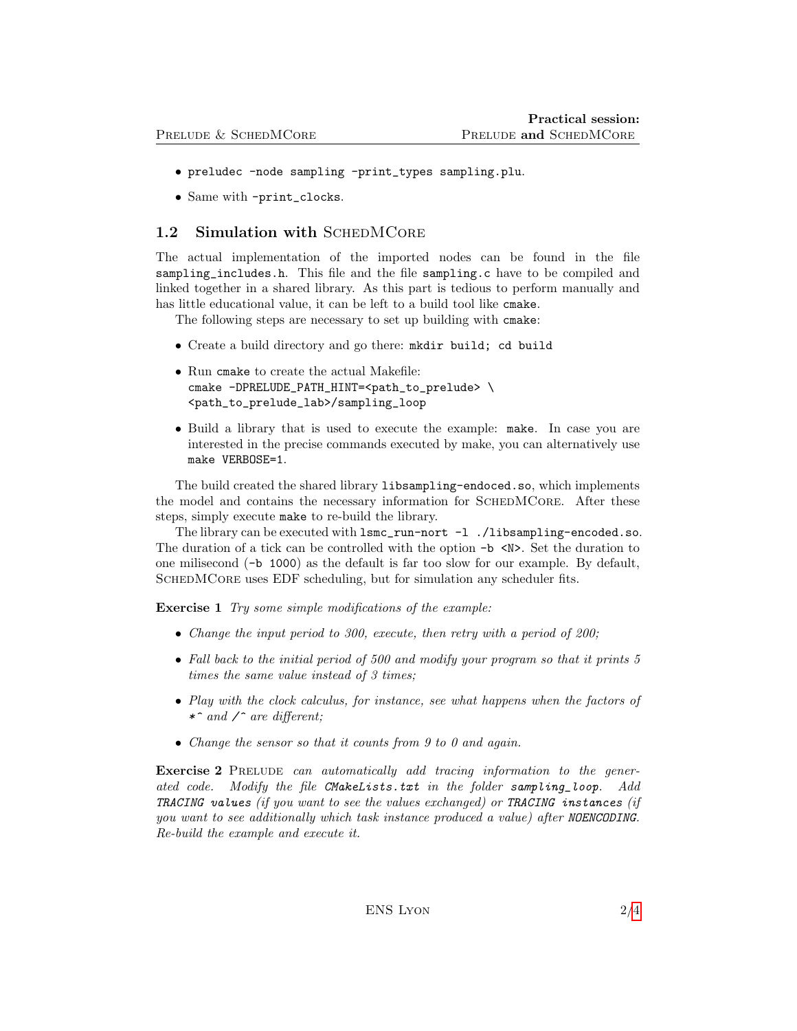- preludec -node sampling -print\_types sampling.plu.
- Same with -print\_clocks.

#### 1.2 Simulation with SCHEDMCORE

The actual implementation of the imported nodes can be found in the file sampling\_includes.h. This file and the file sampling.c have to be compiled and linked together in a shared library. As this part is tedious to perform manually and has little educational value, it can be left to a build tool like cmake.

The following steps are necessary to set up building with cmake:

- Create a build directory and go there: mkdir build; cd build
- Run cmake to create the actual Makefile: cmake -DPRELUDE\_PATH\_HINT=<path\_to\_prelude> \ <path\_to\_prelude\_lab>/sampling\_loop
- Build a library that is used to execute the example: make. In case you are interested in the precise commands executed by make, you can alternatively use make VERBOSE=1.

The build created the shared library libsampling-endoced.so, which implements the model and contains the necessary information for SCHEDMCORE. After these steps, simply execute make to re-build the library.

The library can be executed with lsmc\_run-nort -l ./libsampling-encoded.so. The duration of a tick can be controlled with the option  $-b \le N$ . Set the duration to one milisecond (-b 1000) as the default is far too slow for our example. By default, SCHEDMCORE uses EDF scheduling, but for simulation any scheduler fits.

Exercise 1 Try some simple modifications of the example:

- Change the input period to 300, execute, then retry with a period of 200;
- Fall back to the initial period of 500 and modify your program so that it prints 5 times the same value instead of 3 times;
- Play with the clock calculus, for instance, see what happens when the factors of \*^ and  $\angle$  are different;
- Change the sensor so that it counts from 9 to 0 and again.

Exercise 2 PRELUDE can automatically add tracing information to the generated code. Modify the file CMakeLists.txt in the folder sampling\_loop. Add TRACING values (if you want to see the values exchanged) or TRACING instances (if you want to see additionally which task instance produced a value) after NOENCODING. Re-build the example and execute it.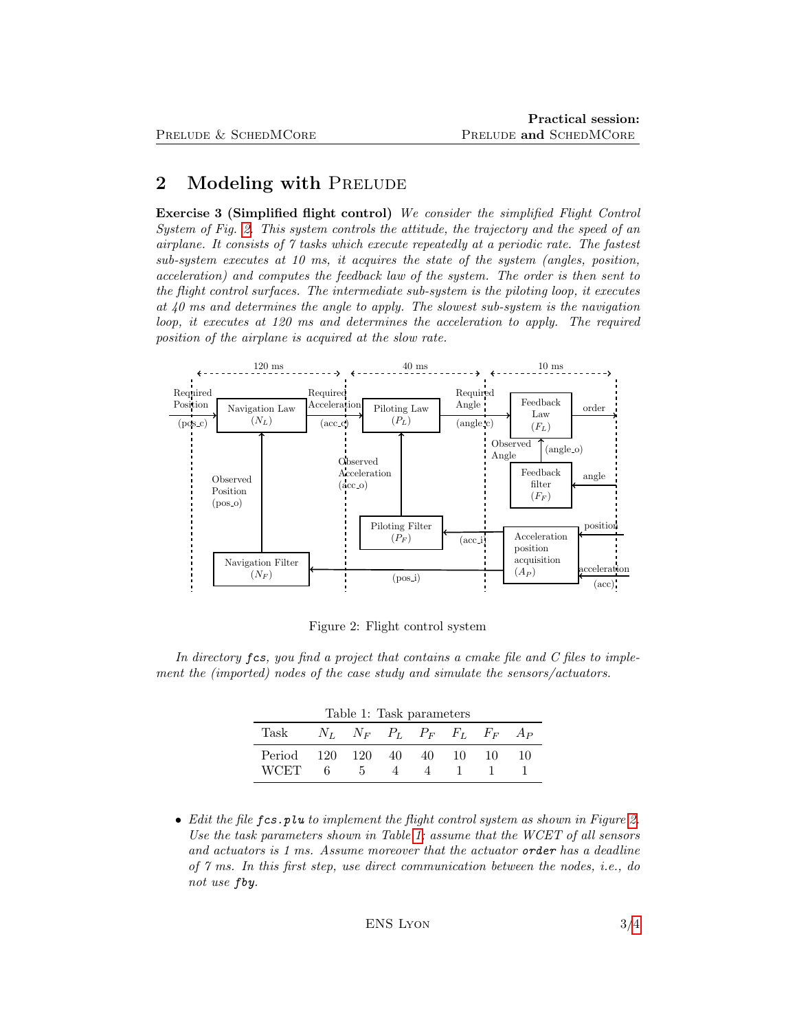## 2 Modeling with PRELUDE

Exercise 3 (Simplified flight control) We consider the simplified Flight Control System of Fig. [2.](#page-2-0) This system controls the attitude, the trajectory and the speed of an airplane. It consists of 7 tasks which execute repeatedly at a periodic rate. The fastest sub-system executes at 10 ms, it acquires the state of the system (angles, position, acceleration) and computes the feedback law of the system. The order is then sent to the flight control surfaces. The intermediate sub-system is the piloting loop, it executes at 40 ms and determines the angle to apply. The slowest sub-system is the navigation loop, it executes at 120 ms and determines the acceleration to apply. The required position of the airplane is acquired at the slow rate.



<span id="page-2-1"></span><span id="page-2-0"></span>Figure 2: Flight control system

In directory fcs, you find a project that contains a cmake file and C files to implement the (imported) nodes of the case study and simulate the sensors/actuators.

| Table 1: Task parameters   |  |                                           |   |   |  |  |    |
|----------------------------|--|-------------------------------------------|---|---|--|--|----|
| Task                       |  | $N_L$ $N_F$ $P_L$ $P_F$ $F_L$ $F_F$ $A_P$ |   |   |  |  |    |
| Period 120 120 40 40 10 10 |  |                                           |   |   |  |  | 10 |
| <b>WCET</b>                |  | 6 5                                       | 4 | 4 |  |  |    |

• Edit the file  $f \text{c} s \cdot p \text{u}$  to implement the flight control system as shown in Figure [2.](#page-2-0) Use the task parameters shown in Table [1;](#page-2-1) assume that the WCET of all sensors and actuators is 1 ms. Assume moreover that the actuator order has a deadline of 7 ms. In this first step, use direct communication between the nodes, i.e., do not use fby.